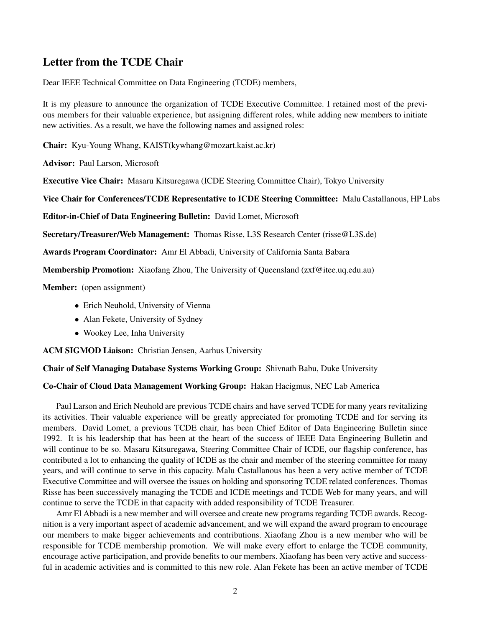## Letter from the TCDE Chair

Dear IEEE Technical Committee on Data Engineering (TCDE) members,

It is my pleasure to announce the organization of TCDE Executive Committee. I retained most of the previous members for their valuable experience, but assigning different roles, while adding new members to initiate new activities. As a result, we have the following names and assigned roles:

Chair: Kyu-Young Whang, KAIST(kywhang@mozart.kaist.ac.kr)

Advisor: Paul Larson, Microsoft

Executive Vice Chair: Masaru Kitsuregawa (ICDE Steering Committee Chair), Tokyo University

Vice Chair for Conferences/TCDE Representative to ICDE Steering Committee: Malu Castallanous, HP Labs

Editor-in-Chief of Data Engineering Bulletin: David Lomet, Microsoft

Secretary/Treasurer/Web Management: Thomas Risse, L3S Research Center (risse@L3S.de)

Awards Program Coordinator: Amr El Abbadi, University of California Santa Babara

Membership Promotion: Xiaofang Zhou, The University of Queensland (zxf@itee.uq.edu.au)

Member: (open assignment)

- *•* Erich Neuhold, University of Vienna
- Alan Fekete, University of Sydney
- *•* Wookey Lee, Inha University

ACM SIGMOD Liaison: Christian Jensen, Aarhus University

Chair of Self Managing Database Systems Working Group: Shivnath Babu, Duke University

## Co-Chair of Cloud Data Management Working Group: Hakan Hacigmus, NEC Lab America

Paul Larson and Erich Neuhold are previous TCDE chairs and have served TCDE for many years revitalizing its activities. Their valuable experience will be greatly appreciated for promoting TCDE and for serving its members. David Lomet, a previous TCDE chair, has been Chief Editor of Data Engineering Bulletin since 1992. It is his leadership that has been at the heart of the success of IEEE Data Engineering Bulletin and will continue to be so. Masaru Kitsuregawa, Steering Committee Chair of ICDE, our flagship conference, has contributed a lot to enhancing the quality of ICDE as the chair and member of the steering committee for many years, and will continue to serve in this capacity. Malu Castallanous has been a very active member of TCDE Executive Committee and will oversee the issues on holding and sponsoring TCDE related conferences. Thomas Risse has been successively managing the TCDE and ICDE meetings and TCDE Web for many years, and will continue to serve the TCDE in that capacity with added responsibility of TCDE Treasurer.

Amr El Abbadi is a new member and will oversee and create new programs regarding TCDE awards. Recognition is a very important aspect of academic advancement, and we will expand the award program to encourage our members to make bigger achievements and contributions. Xiaofang Zhou is a new member who will be responsible for TCDE membership promotion. We will make every effort to enlarge the TCDE community, encourage active participation, and provide benefits to our members. Xiaofang has been very active and successful in academic activities and is committed to this new role. Alan Fekete has been an active member of TCDE